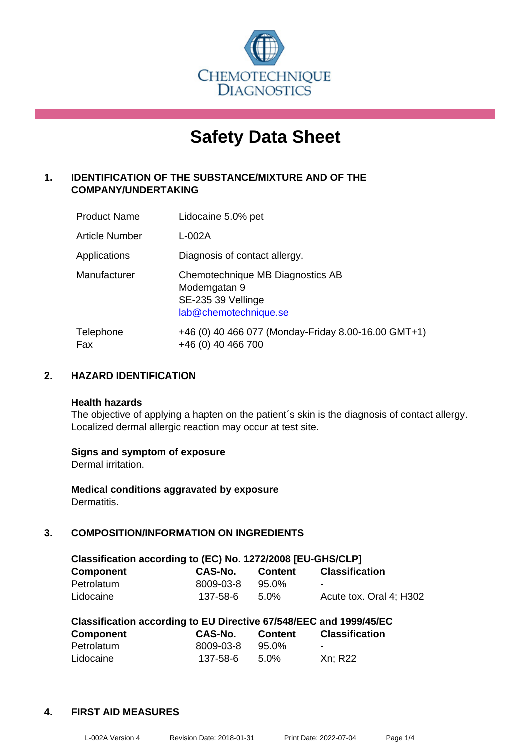

# **Safety Data Sheet**

# **1. IDENTIFICATION OF THE SUBSTANCE/MIXTURE AND OF THE COMPANY/UNDERTAKING**

| <b>Product Name</b>   | Lidocaine 5.0% pet                                                                              |
|-----------------------|-------------------------------------------------------------------------------------------------|
| <b>Article Number</b> | L-002A                                                                                          |
| Applications          | Diagnosis of contact allergy.                                                                   |
| Manufacturer          | Chemotechnique MB Diagnostics AB<br>Modemgatan 9<br>SE-235 39 Vellinge<br>lab@chemotechnique.se |
| Telephone<br>Fax      | +46 (0) 40 466 077 (Monday-Friday 8.00-16.00 GMT+1)<br>+46 (0) 40 466 700                       |

# **2. HAZARD IDENTIFICATION**

#### **Health hazards**

The objective of applying a hapten on the patient's skin is the diagnosis of contact allergy. Localized dermal allergic reaction may occur at test site.

#### **Signs and symptom of exposure**

Dermal irritation.

**Medical conditions aggravated by exposure** Dermatitis.

# **3. COMPOSITION/INFORMATION ON INGREDIENTS**

| Classification according to (EC) No. 1272/2008 [EU-GHS/CLP] |           |         |                         |  |  |
|-------------------------------------------------------------|-----------|---------|-------------------------|--|--|
| <b>Component</b>                                            | CAS-No.   | Content | <b>Classification</b>   |  |  |
| Petrolatum                                                  | 8009-03-8 | 95.0%   | -                       |  |  |
| Lidocaine                                                   | 137-58-6  | 5.0%    | Acute tox. Oral 4: H302 |  |  |

| Classification according to EU Directive 67/548/EEC and 1999/45/EC |           |                |                       |  |  |
|--------------------------------------------------------------------|-----------|----------------|-----------------------|--|--|
| <b>Component</b>                                                   | CAS-No.   | <b>Content</b> | <b>Classification</b> |  |  |
| Petrolatum                                                         | 8009-03-8 | 95.0%          | $\sim$                |  |  |
| Lidocaine                                                          | 137-58-6  | $5.0\%$        | Xn: R22               |  |  |

#### **4. FIRST AID MEASURES**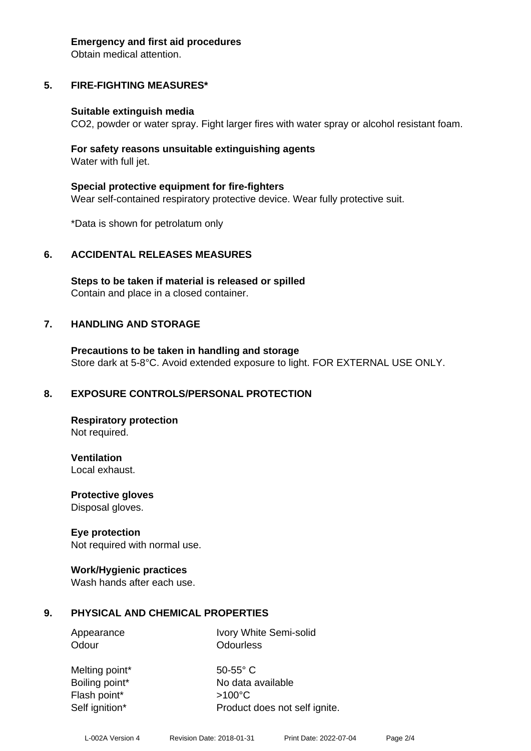#### **Emergency and first aid procedures**

Obtain medical attention.

# **5. FIRE-FIGHTING MEASURES\***

#### **Suitable extinguish media**

CO2, powder or water spray. Fight larger fires with water spray or alcohol resistant foam.

#### **For safety reasons unsuitable extinguishing agents** Water with full jet.

**Special protective equipment for fire-fighters** Wear self-contained respiratory protective device. Wear fully protective suit.

\*Data is shown for petrolatum only

#### **6. ACCIDENTAL RELEASES MEASURES**

**Steps to be taken if material is released or spilled** Contain and place in a closed container.

#### **7. HANDLING AND STORAGE**

**Precautions to be taken in handling and storage** Store dark at 5-8°C. Avoid extended exposure to light. FOR EXTERNAL USE ONLY.

#### **8. EXPOSURE CONTROLS/PERSONAL PROTECTION**

**Respiratory protection** Not required.

**Ventilation** Local exhaust.

**Protective gloves** Disposal gloves.

#### **Eye protection**

Not required with normal use.

#### **Work/Hygienic practices**

Wash hands after each use.

#### **9. PHYSICAL AND CHEMICAL PROPERTIES**

Odour **Odourless** 

Appearance Ivory White Semi-solid

Melting point\* 50-55° C Flash point\* >100°C

Boiling point\* No data available Self ignition\* Product does not self ignite.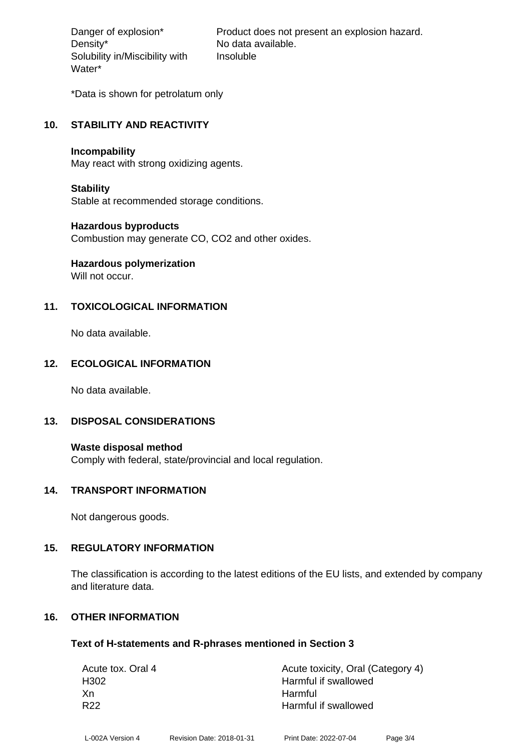Density\* No data available. Solubility in/Miscibility with Water\*

Danger of explosion\* Product does not present an explosion hazard. Insoluble

\*Data is shown for petrolatum only

### **10. STABILITY AND REACTIVITY**

#### **Incompability**

May react with strong oxidizing agents.

#### **Stability**

Stable at recommended storage conditions.

#### **Hazardous byproducts**

Combustion may generate CO, CO2 and other oxides.

# **Hazardous polymerization**

Will not occur.

# **11. TOXICOLOGICAL INFORMATION**

No data available.

# **12. ECOLOGICAL INFORMATION**

No data available.

#### **13. DISPOSAL CONSIDERATIONS**

**Waste disposal method** Comply with federal, state/provincial and local regulation.

#### **14. TRANSPORT INFORMATION**

Not dangerous goods.

#### **15. REGULATORY INFORMATION**

The classification is according to the latest editions of the EU lists, and extended by company and literature data.

# **16. OTHER INFORMATION**

#### **Text of H-statements and R-phrases mentioned in Section 3**

| Acute tox. Oral 4 | Acute toxicity, Oral (Category 4) |
|-------------------|-----------------------------------|
| H <sub>302</sub>  | Harmful if swallowed              |
| Xn                | Harmful                           |
| R <sub>22</sub>   | Harmful if swallowed              |
|                   |                                   |